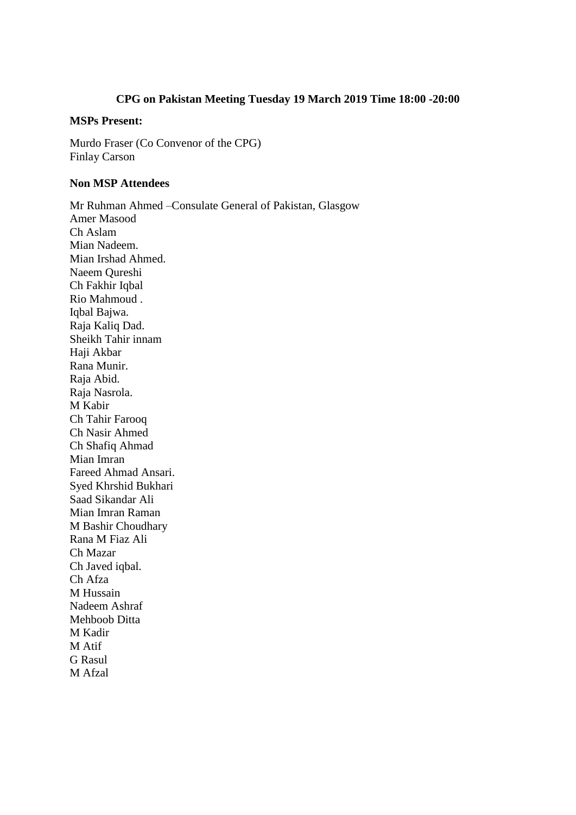## **CPG on Pakistan Meeting Tuesday 19 March 2019 Time 18:00 -20:00**

## **MSPs Present:**

Murdo Fraser (Co Convenor of the CPG) Finlay Carson

## **Non MSP Attendees**

Mr Ruhman Ahmed –Consulate General of Pakistan, Glasgow Amer Masood Ch Aslam Mian Nadeem. Mian Irshad Ahmed. Naeem Qureshi Ch Fakhir Iqbal Rio Mahmoud . Iqbal Bajwa. Raja Kaliq Dad. Sheikh Tahir innam Haji Akbar Rana Munir. Raja Abid. Raja Nasrola. M Kabir Ch Tahir Farooq Ch Nasir Ahmed Ch Shafiq Ahmad Mian Imran Fareed Ahmad Ansari. Syed Khrshid Bukhari Saad Sikandar Ali Mian Imran Raman M Bashir Choudhary Rana M Fiaz Ali Ch Mazar Ch Javed iqbal. Ch Afza M Hussain Nadeem Ashraf Mehboob Ditta M Kadir M Atif G Rasul

M Afzal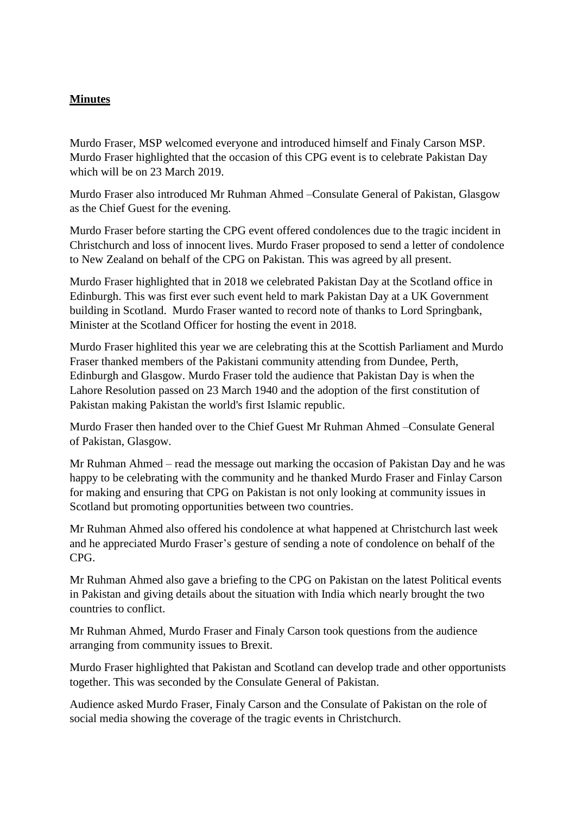## **Minutes**

Murdo Fraser, MSP welcomed everyone and introduced himself and Finaly Carson MSP. Murdo Fraser highlighted that the occasion of this CPG event is to celebrate Pakistan Day which will be on 23 March 2019.

Murdo Fraser also introduced Mr Ruhman Ahmed –Consulate General of Pakistan, Glasgow as the Chief Guest for the evening.

Murdo Fraser before starting the CPG event offered condolences due to the tragic incident in Christchurch and loss of innocent lives. Murdo Fraser proposed to send a letter of condolence to New Zealand on behalf of the CPG on Pakistan. This was agreed by all present.

Murdo Fraser highlighted that in 2018 we celebrated Pakistan Day at the Scotland office in Edinburgh. This was first ever such event held to mark Pakistan Day at a UK Government building in Scotland. Murdo Fraser wanted to record note of thanks to Lord Springbank, Minister at the Scotland Officer for hosting the event in 2018.

Murdo Fraser highlited this year we are celebrating this at the Scottish Parliament and Murdo Fraser thanked members of the Pakistani community attending from Dundee, Perth, Edinburgh and Glasgow. Murdo Fraser told the audience that Pakistan Day is when the [Lahore Resolution](https://en.wikipedia.org/wiki/Lahore_Resolution) passed on 23 March 1940 and the adoption of the first [constitution of](https://en.wikipedia.org/wiki/Constitution_of_Pakistan)  [Pakistan](https://en.wikipedia.org/wiki/Constitution_of_Pakistan) making Pakistan the world's first [Islamic republic.](https://en.wikipedia.org/wiki/Islamic_republic)

Murdo Fraser then handed over to the Chief Guest Mr Ruhman Ahmed –Consulate General of Pakistan, Glasgow.

Mr Ruhman Ahmed – read the message out marking the occasion of Pakistan Day and he was happy to be celebrating with the community and he thanked Murdo Fraser and Finlay Carson for making and ensuring that CPG on Pakistan is not only looking at community issues in Scotland but promoting opportunities between two countries.

Mr Ruhman Ahmed also offered his condolence at what happened at Christchurch last week and he appreciated Murdo Fraser's gesture of sending a note of condolence on behalf of the CPG.

Mr Ruhman Ahmed also gave a briefing to the CPG on Pakistan on the latest Political events in Pakistan and giving details about the situation with India which nearly brought the two countries to conflict.

Mr Ruhman Ahmed, Murdo Fraser and Finaly Carson took questions from the audience arranging from community issues to Brexit.

Murdo Fraser highlighted that Pakistan and Scotland can develop trade and other opportunists together. This was seconded by the Consulate General of Pakistan.

Audience asked Murdo Fraser, Finaly Carson and the Consulate of Pakistan on the role of social media showing the coverage of the tragic events in Christchurch.